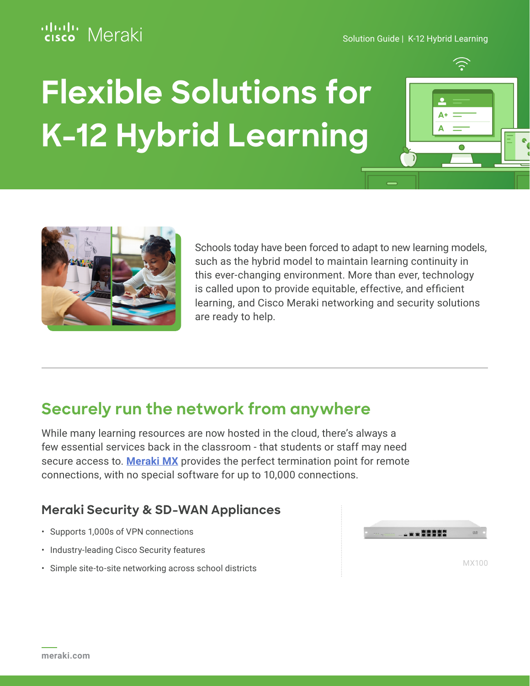# Meraki

Solution Guide | K-12 Hybrid Learning

# **Flexible Solutions for K-12 Hybrid Learning**





Schools today have been forced to adapt to new learning models, such as the hybrid model to maintain learning continuity in this ever-changing environment. More than ever, technology is called upon to provide equitable, effective, and efficient learning, and Cisco Meraki networking and security solutions are ready to help.

# **Securely run the network from anywhere**

While many learning resources are now hosted in the cloud, there's always a few essential services back in the classroom - that students or staff may need secure access to. **[Meraki MX](https://meraki.cisco.com/products/security-sd-wan/)** provides the perfect termination point for remote connections, with no special software for up to 10,000 connections.

#### **Meraki Security & SD-WAN Appliances**

- Supports 1,000s of VPN connections
- Industry-leading Cisco Security features
- Simple site-to-site networking across school districts

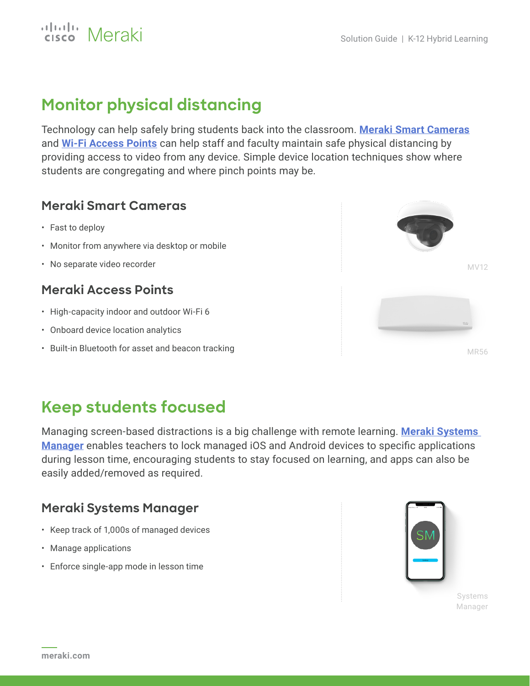

# **Monitor physical distancing**

Technology can help safely bring students back into the classroom. **[Meraki Smart Cameras](https://meraki.cisco.com/products/smart-cameras/)** and **[Wi-Fi Access Points](https://meraki.cisco.com/products/wi-fi/)** can help staff and faculty maintain safe physical distancing by providing access to video from any device. Simple device location techniques show where students are congregating and where pinch points may be.

#### **Meraki Smart Cameras**

- Fast to deploy
- Monitor from anywhere via desktop or mobile
- No separate video recorder

#### **Meraki Access Points**

- High-capacity indoor and outdoor Wi-Fi 6
- Onboard device location analytics
- Built-in Bluetooth for asset and beacon tracking



# **Keep students focused**

Managing screen-based distractions is a big challenge with remote learning. **[Meraki Systems](https://meraki.cisco.com/products/systems-manager/)  [Manager](https://meraki.cisco.com/products/systems-manager/)** enables teachers to lock managed iOS and Android devices to specific applications during lesson time, encouraging students to stay focused on learning, and apps can also be easily added/removed as required.

#### **Meraki Systems Manager**

- Keep track of 1,000s of managed devices
- Manage applications
- Enforce single-app mode in lesson time



Systems Manager